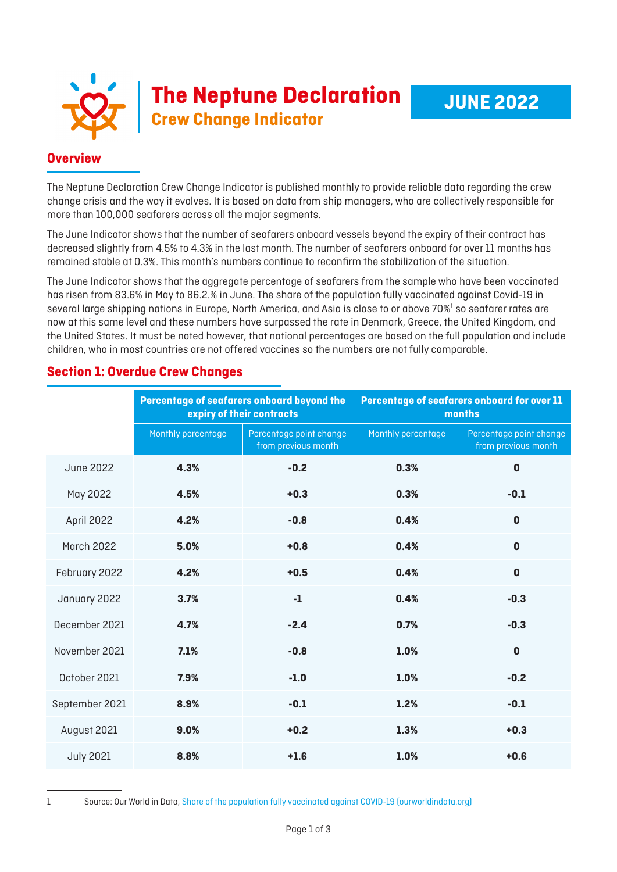|  | <b>COLLET SERVICE SERVICE SERVICE SERVICE SERVICE SERVICE SERVICE SERVICE SERVICE SERVICE SERVICE SERVICE SERVICE SERVICE SERVICE SERVICE SERVICE SERVICE SERVICE SERVICE SERVICE SERVICE SERVICE SERVICE SERVICE SERVICE SERVIC</b> |
|--|--------------------------------------------------------------------------------------------------------------------------------------------------------------------------------------------------------------------------------------|
|  |                                                                                                                                                                                                                                      |

## **Overview**

The Neptune Declaration Crew Change Indicator is published monthly to provide reliable data regarding the crew change crisis and the way it evolves. It is based on data from ship managers, who are collectively responsible for more than 100,000 seafarers across all the major segments.

The June Indicator shows that the number of seafarers onboard vessels beyond the expiry of their contract has decreased slightly from 4.5% to 4.3% in the last month. The number of seafarers onboard for over 11 months has remained stable at 0.3%. This month's numbers continue to reconfirm the stabilization of the situation.

The June Indicator shows that the aggregate percentage of seafarers from the sample who have been vaccinated has risen from 83.6% in May to 86.2.% in June. The share of the population fully vaccinated against Covid-19 in several large shipping nations in Europe, North America, and Asia is close to or above 70%<sup>1</sup> so seafarer rates are now at this same level and these numbers have surpassed the rate in Denmark, Greece, the United Kingdom, and the United States. It must be noted however, that national percentages are based on the full population and include children, who in most countries are not offered vaccines so the numbers are not fully comparable.

|                   | Percentage of seafarers onboard beyond the<br>expiry of their contracts |                                                | Percentage of seafarers onboard for over 11<br>months |                                                |
|-------------------|-------------------------------------------------------------------------|------------------------------------------------|-------------------------------------------------------|------------------------------------------------|
|                   | Monthly percentage                                                      | Percentage point change<br>from previous month | Monthly percentage                                    | Percentage point change<br>from previous month |
| <b>June 2022</b>  | 4.3%                                                                    | $-0.2$                                         | 0.3%                                                  | $\mathbf 0$                                    |
| May 2022          | 4.5%                                                                    | $+0.3$                                         | 0.3%                                                  | $-0.1$                                         |
| April 2022        | 4.2%                                                                    | $-0.8$                                         | 0.4%                                                  | $\mathbf 0$                                    |
| <b>March 2022</b> | 5.0%                                                                    | $+0.8$                                         | 0.4%                                                  | $\mathbf 0$                                    |
| February 2022     | 4.2%                                                                    | $+0.5$                                         | 0.4%                                                  | $\mathbf 0$                                    |
| January 2022      | 3.7%                                                                    | $-1$                                           | 0.4%                                                  | $-0.3$                                         |
| December 2021     | 4.7%                                                                    | $-2.4$                                         | 0.7%                                                  | $-0.3$                                         |
| November 2021     | 7.1%                                                                    | $-0.8$                                         | 1.0%                                                  | $\mathbf 0$                                    |
| October 2021      | 7.9%                                                                    | $-1.0$                                         | 1.0%                                                  | $-0.2$                                         |
| September 2021    | 8.9%                                                                    | $-0.1$                                         | 1.2%                                                  | $-0.1$                                         |
| August 2021       | 9.0%                                                                    | $+0.2$                                         | 1.3%                                                  | $+0.3$                                         |
| <b>July 2021</b>  | 8.8%                                                                    | $+1.6$                                         | 1.0%                                                  | $+0.6$                                         |

## **Section 1: Overdue Crew Changes**

<sup>1</sup> Source: Our World in Data, [Share of the population fully vaccinated against COVID-19 \(ourworldindata.org\)](https://ourworldindata.org/grapher/share-people-fully-vaccinated-covid?region=Europe&country=DNK~GRC~USA~CHN~GBR~SGP)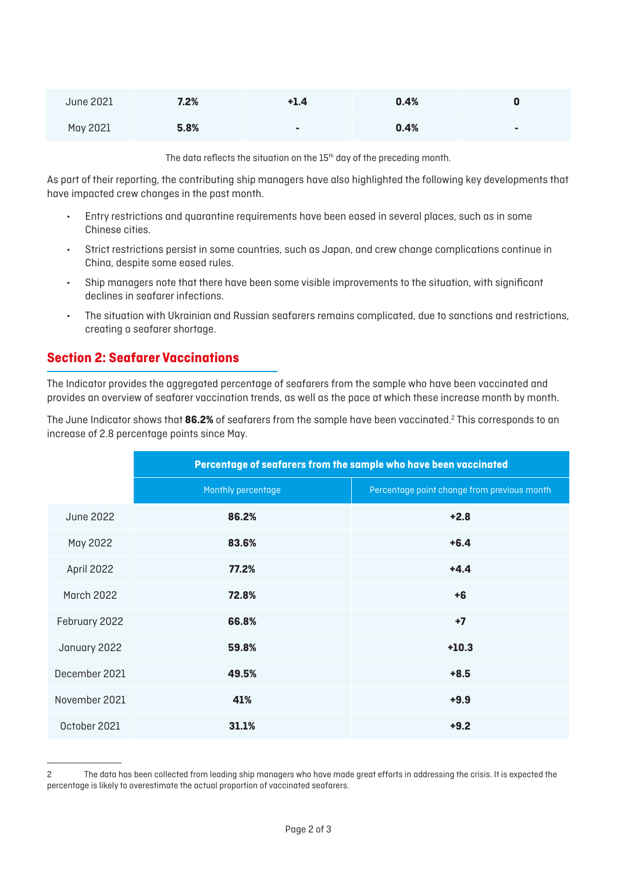| June 2021 | 7.2% | $+1.4$                   | 0.4% |  |
|-----------|------|--------------------------|------|--|
| May 2021  | 5.8% | $\overline{\phantom{a}}$ | 0.4% |  |

The data reflects the situation on the 15<sup>th</sup> day of the preceding month.

As part of their reporting, the contributing ship managers have also highlighted the following key developments that have impacted crew changes in the past month.

- Entry restrictions and quarantine requirements have been eased in several places, such as in some Chinese cities.
- Strict restrictions persist in some countries, such as Japan, and crew change complications continue in China, despite some eased rules.
- Ship managers note that there have been some visible improvements to the situation, with significant declines in seafarer infections.
- The situation with Ukrainian and Russian seafarers remains complicated, due to sanctions and restrictions, creating a seafarer shortage.

## **Section 2: Seafarer Vaccinations**

The Indicator provides the aggregated percentage of seafarers from the sample who have been vaccinated and provides an overview of seafarer vaccination trends, as well as the pace at which these increase month by month.

The June Indicator shows that **86.2%** of seafarers from the sample have been vaccinated.<sup>2</sup> This corresponds to an increase of 2.8 percentage points since May.

|                   | Percentage of seafarers from the sample who have been vaccinated |                                             |  |
|-------------------|------------------------------------------------------------------|---------------------------------------------|--|
|                   | Monthly percentage                                               | Percentage point change from previous month |  |
| <b>June 2022</b>  | 86.2%                                                            | $+2.8$                                      |  |
| May 2022          | 83.6%                                                            | $+6.4$                                      |  |
| April 2022        | 77.2%                                                            | $+4.4$                                      |  |
| <b>March 2022</b> | 72.8%                                                            | $+6$                                        |  |
| February 2022     | 66.8%                                                            | $+7$                                        |  |
| January 2022      | 59.8%                                                            | $+10.3$                                     |  |
| December 2021     | 49.5%                                                            | $+8.5$                                      |  |
| November 2021     | 41%                                                              | $+9.9$                                      |  |
| October 2021      | 31.1%                                                            | $+9.2$                                      |  |

<sup>2</sup> The data has been collected from leading ship managers who have made great efforts in addressing the crisis. It is expected the percentage is likely to overestimate the actual proportion of vaccinated seafarers.